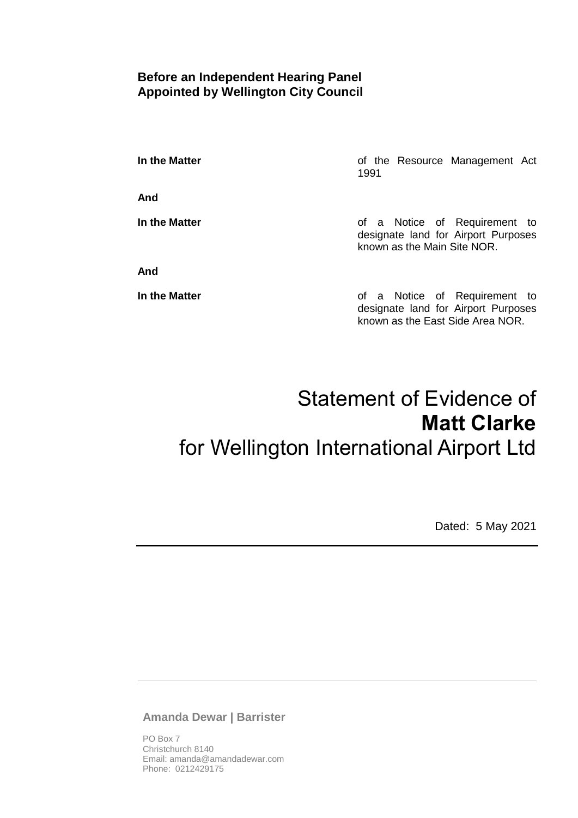## **Before an Independent Hearing Panel Appointed by Wellington City Council**

**In the Matter In the Matter of the Resource Management Act** 1991

**And**

**And**

**In the Matter In the Matter of a Notice of Requirement to** designate land for Airport Purposes known as the Main Site NOR.

**In the Matter In the Matter of a Notice of Requirement to** designate land for Airport Purposes known as the East Side Area NOR.

# Statement of Evidence of **Matt Clarke** for Wellington International Airport Ltd

Dated: 5 May 2021

**Amanda Dewar | Barrister**

PO Box 7 Christchurch 8140 Email: amanda@amandadewar.com Phone: 0212429175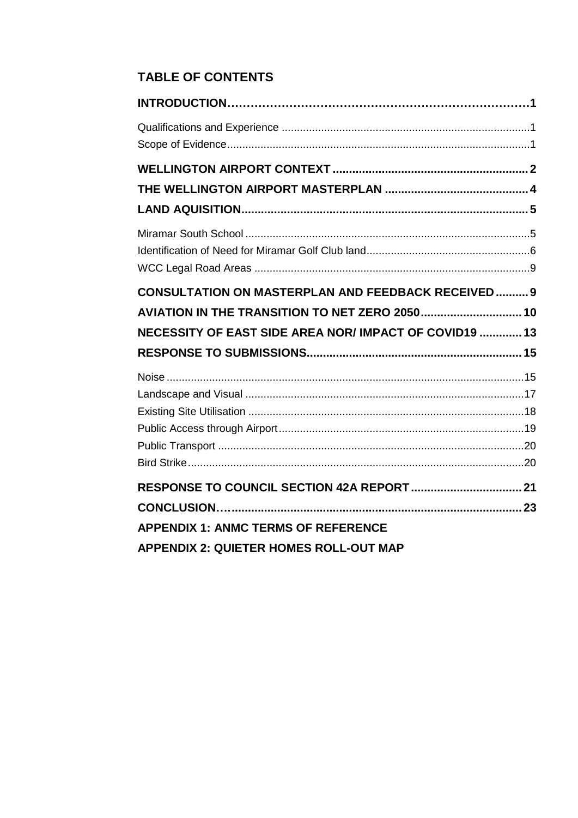# **TABLE OF CONTENTS**

| <b>CONSULTATION ON MASTERPLAN AND FEEDBACK RECEIVED 9</b> |  |
|-----------------------------------------------------------|--|
|                                                           |  |
| NECESSITY OF EAST SIDE AREA NOR/IMPACT OF COVID19  13     |  |
|                                                           |  |
|                                                           |  |
|                                                           |  |
|                                                           |  |
|                                                           |  |
|                                                           |  |
|                                                           |  |
|                                                           |  |
|                                                           |  |
| <b>APPENDIX 1: ANMC TERMS OF REFERENCE</b>                |  |
| <b>APPENDIX 2: QUIETER HOMES ROLL-OUT MAP</b>             |  |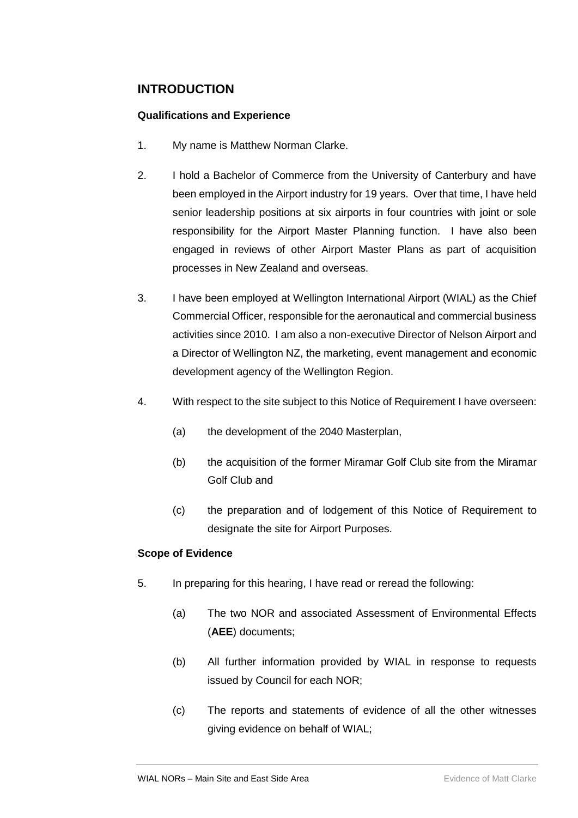## <span id="page-2-0"></span>**INTRODUCTION**

### <span id="page-2-1"></span>**Qualifications and Experience**

- 1. My name is Matthew Norman Clarke.
- 2. I hold a Bachelor of Commerce from the University of Canterbury and have been employed in the Airport industry for 19 years. Over that time, I have held senior leadership positions at six airports in four countries with joint or sole responsibility for the Airport Master Planning function. I have also been engaged in reviews of other Airport Master Plans as part of acquisition processes in New Zealand and overseas.
- 3. I have been employed at Wellington International Airport (WIAL) as the Chief Commercial Officer, responsible for the aeronautical and commercial business activities since 2010. I am also a non-executive Director of Nelson Airport and a Director of Wellington NZ, the marketing, event management and economic development agency of the Wellington Region.
- 4. With respect to the site subject to this Notice of Requirement I have overseen:
	- (a) the development of the 2040 Masterplan,
	- (b) the acquisition of the former Miramar Golf Club site from the Miramar Golf Club and
	- (c) the preparation and of lodgement of this Notice of Requirement to designate the site for Airport Purposes.

### <span id="page-2-2"></span>**Scope of Evidence**

- 5. In preparing for this hearing, I have read or reread the following:
	- (a) The two NOR and associated Assessment of Environmental Effects (**AEE**) documents;
	- (b) All further information provided by WIAL in response to requests issued by Council for each NOR;
	- (c) The reports and statements of evidence of all the other witnesses giving evidence on behalf of WIAL;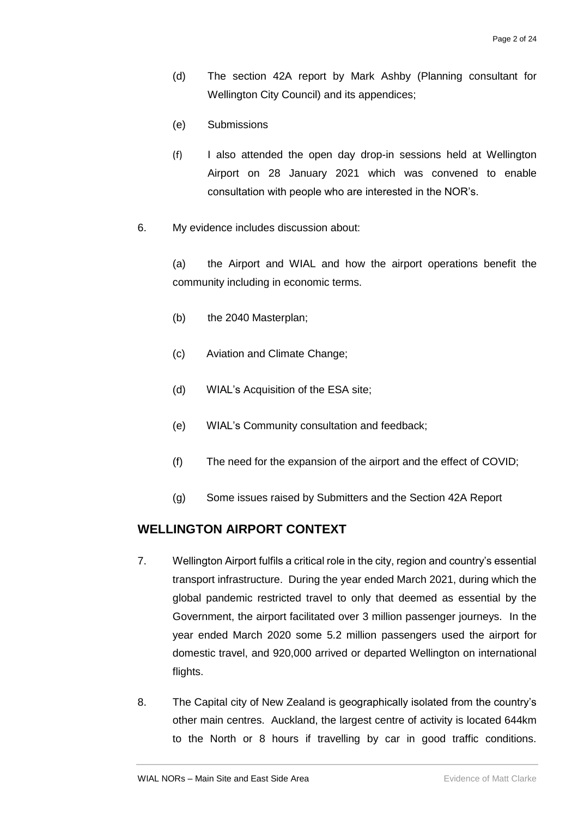- (d) The section 42A report by Mark Ashby (Planning consultant for Wellington City Council) and its appendices;
- (e) Submissions
- (f) I also attended the open day drop-in sessions held at Wellington Airport on 28 January 2021 which was convened to enable consultation with people who are interested in the NOR's.
- 6. My evidence includes discussion about:

(a) the Airport and WIAL and how the airport operations benefit the community including in economic terms.

- (b) the 2040 Masterplan;
- (c) Aviation and Climate Change;
- (d) WIAL's Acquisition of the ESA site;
- (e) WIAL's Community consultation and feedback;
- (f) The need for the expansion of the airport and the effect of COVID;
- (g) Some issues raised by Submitters and the Section 42A Report

## <span id="page-3-0"></span>**WELLINGTON AIRPORT CONTEXT**

- 7. Wellington Airport fulfils a critical role in the city, region and country's essential transport infrastructure. During the year ended March 2021, during which the global pandemic restricted travel to only that deemed as essential by the Government, the airport facilitated over 3 million passenger journeys. In the year ended March 2020 some 5.2 million passengers used the airport for domestic travel, and 920,000 arrived or departed Wellington on international flights.
- 8. The Capital city of New Zealand is geographically isolated from the country's other main centres. Auckland, the largest centre of activity is located 644km to the North or 8 hours if travelling by car in good traffic conditions.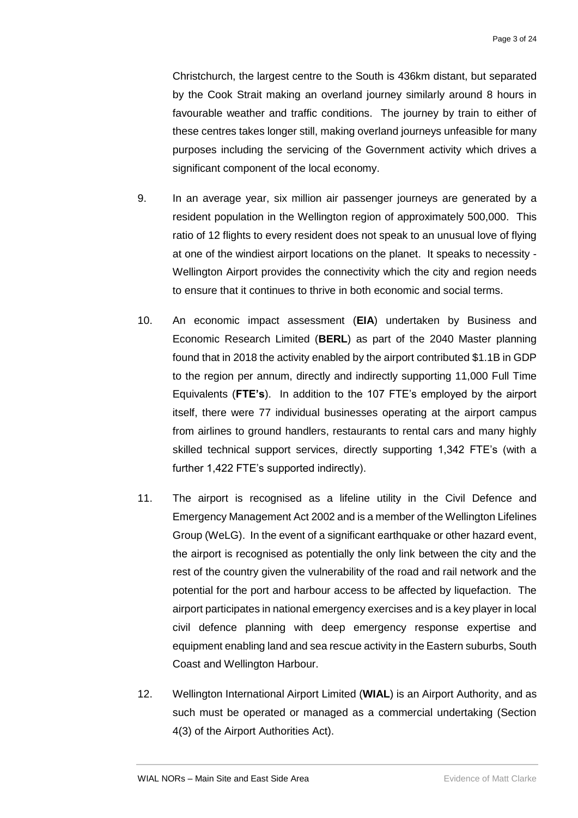Christchurch, the largest centre to the South is 436km distant, but separated by the Cook Strait making an overland journey similarly around 8 hours in favourable weather and traffic conditions. The journey by train to either of these centres takes longer still, making overland journeys unfeasible for many purposes including the servicing of the Government activity which drives a significant component of the local economy.

- 9. In an average year, six million air passenger journeys are generated by a resident population in the Wellington region of approximately 500,000. This ratio of 12 flights to every resident does not speak to an unusual love of flying at one of the windiest airport locations on the planet. It speaks to necessity - Wellington Airport provides the connectivity which the city and region needs to ensure that it continues to thrive in both economic and social terms.
- 10. An economic impact assessment (**EIA**) undertaken by Business and Economic Research Limited (**BERL**) as part of the 2040 Master planning found that in 2018 the activity enabled by the airport contributed \$1.1B in GDP to the region per annum, directly and indirectly supporting 11,000 Full Time Equivalents (**FTE's**). In addition to the 107 FTE's employed by the airport itself, there were 77 individual businesses operating at the airport campus from airlines to ground handlers, restaurants to rental cars and many highly skilled technical support services, directly supporting 1,342 FTE's (with a further 1,422 FTE's supported indirectly).
- 11. The airport is recognised as a lifeline utility in the Civil Defence and Emergency Management Act 2002 and is a member of the Wellington Lifelines Group (WeLG). In the event of a significant earthquake or other hazard event, the airport is recognised as potentially the only link between the city and the rest of the country given the vulnerability of the road and rail network and the potential for the port and harbour access to be affected by liquefaction. The airport participates in national emergency exercises and is a key player in local civil defence planning with deep emergency response expertise and equipment enabling land and sea rescue activity in the Eastern suburbs, South Coast and Wellington Harbour.
- 12. Wellington International Airport Limited (**WIAL**) is an Airport Authority, and as such must be operated or managed as a commercial undertaking (Section 4(3) of the Airport Authorities Act).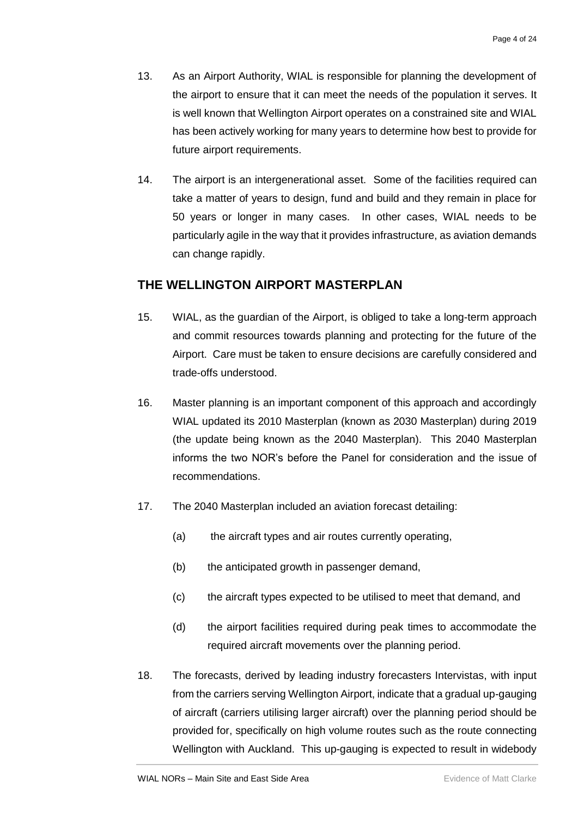- 13. As an Airport Authority, WIAL is responsible for planning the development of the airport to ensure that it can meet the needs of the population it serves. It is well known that Wellington Airport operates on a constrained site and WIAL has been actively working for many years to determine how best to provide for future airport requirements.
- 14. The airport is an intergenerational asset. Some of the facilities required can take a matter of years to design, fund and build and they remain in place for 50 years or longer in many cases. In other cases, WIAL needs to be particularly agile in the way that it provides infrastructure, as aviation demands can change rapidly.

## <span id="page-5-0"></span>**THE WELLINGTON AIRPORT MASTERPLAN**

- 15. WIAL, as the guardian of the Airport, is obliged to take a long-term approach and commit resources towards planning and protecting for the future of the Airport. Care must be taken to ensure decisions are carefully considered and trade-offs understood.
- 16. Master planning is an important component of this approach and accordingly WIAL updated its 2010 Masterplan (known as 2030 Masterplan) during 2019 (the update being known as the 2040 Masterplan). This 2040 Masterplan informs the two NOR's before the Panel for consideration and the issue of recommendations.
- 17. The 2040 Masterplan included an aviation forecast detailing:
	- (a) the aircraft types and air routes currently operating,
	- (b) the anticipated growth in passenger demand,
	- (c) the aircraft types expected to be utilised to meet that demand, and
	- (d) the airport facilities required during peak times to accommodate the required aircraft movements over the planning period.
- 18. The forecasts, derived by leading industry forecasters Intervistas, with input from the carriers serving Wellington Airport, indicate that a gradual up-gauging of aircraft (carriers utilising larger aircraft) over the planning period should be provided for, specifically on high volume routes such as the route connecting Wellington with Auckland. This up-gauging is expected to result in widebody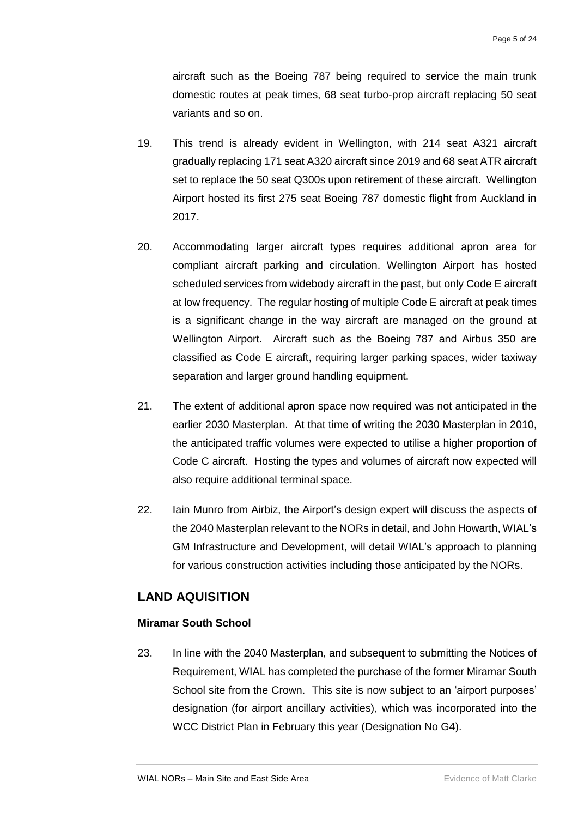aircraft such as the Boeing 787 being required to service the main trunk domestic routes at peak times, 68 seat turbo-prop aircraft replacing 50 seat variants and so on.

- 19. This trend is already evident in Wellington, with 214 seat A321 aircraft gradually replacing 171 seat A320 aircraft since 2019 and 68 seat ATR aircraft set to replace the 50 seat Q300s upon retirement of these aircraft. Wellington Airport hosted its first 275 seat Boeing 787 domestic flight from Auckland in 2017.
- 20. Accommodating larger aircraft types requires additional apron area for compliant aircraft parking and circulation. Wellington Airport has hosted scheduled services from widebody aircraft in the past, but only Code E aircraft at low frequency. The regular hosting of multiple Code E aircraft at peak times is a significant change in the way aircraft are managed on the ground at Wellington Airport. Aircraft such as the Boeing 787 and Airbus 350 are classified as Code E aircraft, requiring larger parking spaces, wider taxiway separation and larger ground handling equipment.
- 21. The extent of additional apron space now required was not anticipated in the earlier 2030 Masterplan. At that time of writing the 2030 Masterplan in 2010, the anticipated traffic volumes were expected to utilise a higher proportion of Code C aircraft. Hosting the types and volumes of aircraft now expected will also require additional terminal space.
- 22. Iain Munro from Airbiz, the Airport's design expert will discuss the aspects of the 2040 Masterplan relevant to the NORs in detail, and John Howarth, WIAL's GM Infrastructure and Development, will detail WIAL's approach to planning for various construction activities including those anticipated by the NORs.

## <span id="page-6-0"></span>**LAND AQUISITION**

## <span id="page-6-1"></span>**Miramar South School**

23. In line with the 2040 Masterplan, and subsequent to submitting the Notices of Requirement, WIAL has completed the purchase of the former Miramar South School site from the Crown. This site is now subject to an 'airport purposes' designation (for airport ancillary activities), which was incorporated into the WCC District Plan in February this year (Designation No G4).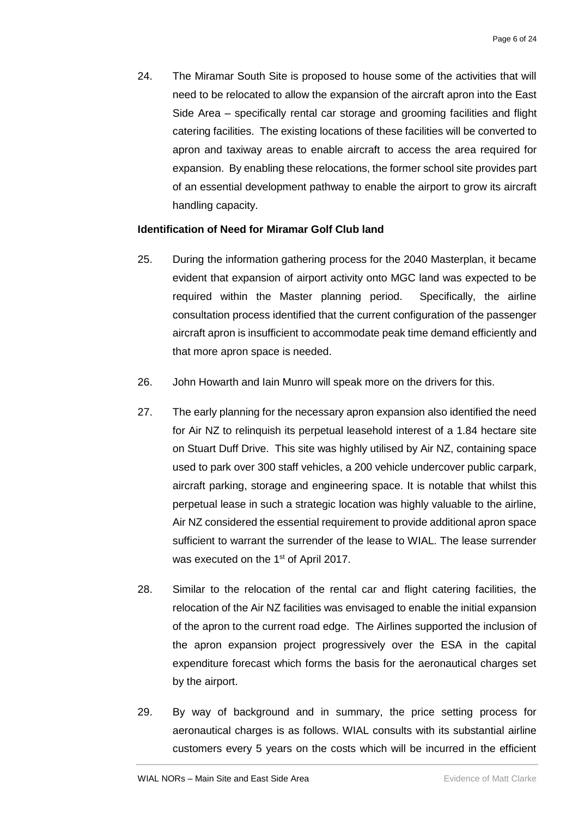24. The Miramar South Site is proposed to house some of the activities that will need to be relocated to allow the expansion of the aircraft apron into the East Side Area – specifically rental car storage and grooming facilities and flight catering facilities. The existing locations of these facilities will be converted to apron and taxiway areas to enable aircraft to access the area required for expansion. By enabling these relocations, the former school site provides part of an essential development pathway to enable the airport to grow its aircraft handling capacity.

### <span id="page-7-0"></span>**Identification of Need for Miramar Golf Club land**

- 25. During the information gathering process for the 2040 Masterplan, it became evident that expansion of airport activity onto MGC land was expected to be required within the Master planning period. Specifically, the airline consultation process identified that the current configuration of the passenger aircraft apron is insufficient to accommodate peak time demand efficiently and that more apron space is needed.
- 26. John Howarth and Iain Munro will speak more on the drivers for this.
- 27. The early planning for the necessary apron expansion also identified the need for Air NZ to relinquish its perpetual leasehold interest of a 1.84 hectare site on Stuart Duff Drive. This site was highly utilised by Air NZ, containing space used to park over 300 staff vehicles, a 200 vehicle undercover public carpark, aircraft parking, storage and engineering space. It is notable that whilst this perpetual lease in such a strategic location was highly valuable to the airline, Air NZ considered the essential requirement to provide additional apron space sufficient to warrant the surrender of the lease to WIAL. The lease surrender was executed on the 1<sup>st</sup> of April 2017.
- 28. Similar to the relocation of the rental car and flight catering facilities, the relocation of the Air NZ facilities was envisaged to enable the initial expansion of the apron to the current road edge. The Airlines supported the inclusion of the apron expansion project progressively over the ESA in the capital expenditure forecast which forms the basis for the aeronautical charges set by the airport.
- 29. By way of background and in summary, the price setting process for aeronautical charges is as follows. WIAL consults with its substantial airline customers every 5 years on the costs which will be incurred in the efficient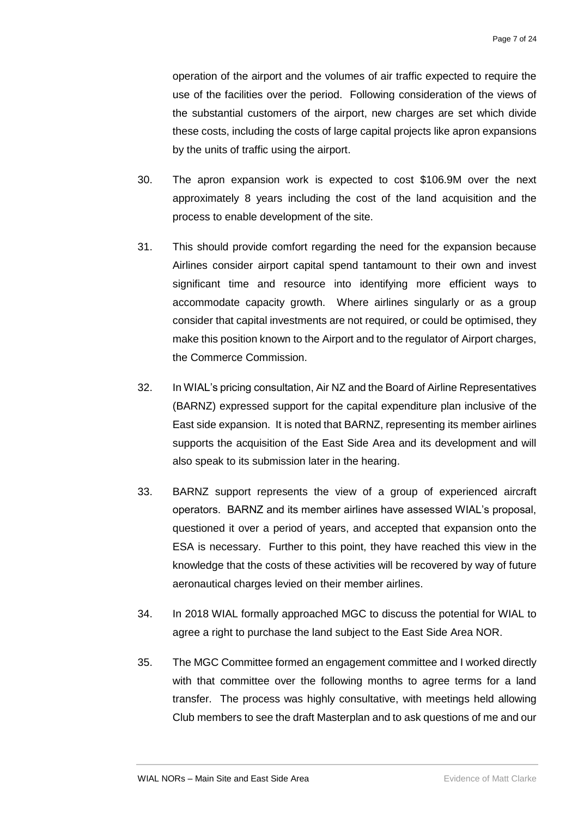operation of the airport and the volumes of air traffic expected to require the use of the facilities over the period. Following consideration of the views of the substantial customers of the airport, new charges are set which divide these costs, including the costs of large capital projects like apron expansions by the units of traffic using the airport.

- 30. The apron expansion work is expected to cost \$106.9M over the next approximately 8 years including the cost of the land acquisition and the process to enable development of the site.
- 31. This should provide comfort regarding the need for the expansion because Airlines consider airport capital spend tantamount to their own and invest significant time and resource into identifying more efficient ways to accommodate capacity growth. Where airlines singularly or as a group consider that capital investments are not required, or could be optimised, they make this position known to the Airport and to the regulator of Airport charges, the Commerce Commission.
- 32. In WIAL's pricing consultation, Air NZ and the Board of Airline Representatives (BARNZ) expressed support for the capital expenditure plan inclusive of the East side expansion. It is noted that BARNZ, representing its member airlines supports the acquisition of the East Side Area and its development and will also speak to its submission later in the hearing.
- 33. BARNZ support represents the view of a group of experienced aircraft operators. BARNZ and its member airlines have assessed WIAL's proposal, questioned it over a period of years, and accepted that expansion onto the ESA is necessary. Further to this point, they have reached this view in the knowledge that the costs of these activities will be recovered by way of future aeronautical charges levied on their member airlines.
- 34. In 2018 WIAL formally approached MGC to discuss the potential for WIAL to agree a right to purchase the land subject to the East Side Area NOR.
- 35. The MGC Committee formed an engagement committee and I worked directly with that committee over the following months to agree terms for a land transfer. The process was highly consultative, with meetings held allowing Club members to see the draft Masterplan and to ask questions of me and our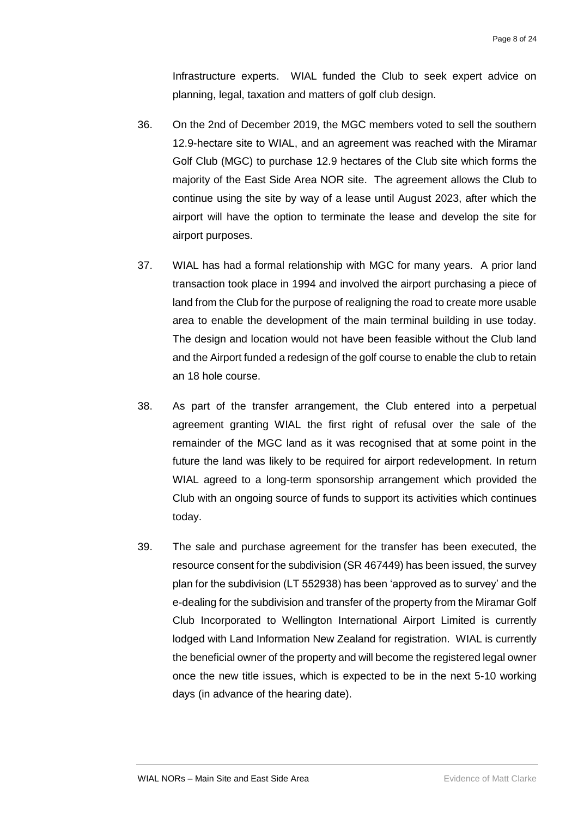Infrastructure experts. WIAL funded the Club to seek expert advice on planning, legal, taxation and matters of golf club design.

- 36. On the 2nd of December 2019, the MGC members voted to sell the southern 12.9-hectare site to WIAL, and an agreement was reached with the Miramar Golf Club (MGC) to purchase 12.9 hectares of the Club site which forms the majority of the East Side Area NOR site. The agreement allows the Club to continue using the site by way of a lease until August 2023, after which the airport will have the option to terminate the lease and develop the site for airport purposes.
- 37. WIAL has had a formal relationship with MGC for many years. A prior land transaction took place in 1994 and involved the airport purchasing a piece of land from the Club for the purpose of realigning the road to create more usable area to enable the development of the main terminal building in use today. The design and location would not have been feasible without the Club land and the Airport funded a redesign of the golf course to enable the club to retain an 18 hole course.
- 38. As part of the transfer arrangement, the Club entered into a perpetual agreement granting WIAL the first right of refusal over the sale of the remainder of the MGC land as it was recognised that at some point in the future the land was likely to be required for airport redevelopment. In return WIAL agreed to a long-term sponsorship arrangement which provided the Club with an ongoing source of funds to support its activities which continues today.
- 39. The sale and purchase agreement for the transfer has been executed, the resource consent for the subdivision (SR 467449) has been issued, the survey plan for the subdivision (LT 552938) has been 'approved as to survey' and the e-dealing for the subdivision and transfer of the property from the Miramar Golf Club Incorporated to Wellington International Airport Limited is currently lodged with Land Information New Zealand for registration. WIAL is currently the beneficial owner of the property and will become the registered legal owner once the new title issues, which is expected to be in the next 5-10 working days (in advance of the hearing date).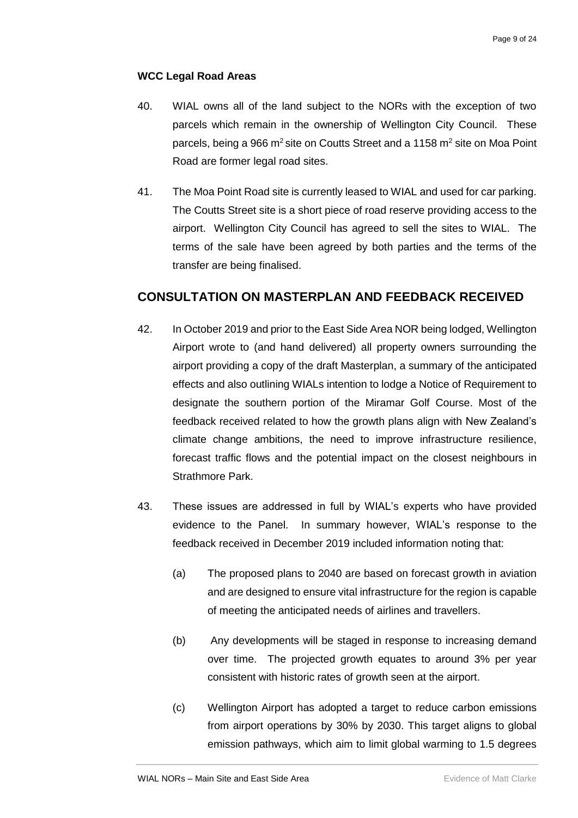### <span id="page-10-0"></span>**WCC Legal Road Areas**

- 40. WIAL owns all of the land subject to the NORs with the exception of two parcels which remain in the ownership of Wellington City Council. These parcels, being a 966 m<sup>2</sup> site on Coutts Street and a 1158 m<sup>2</sup> site on Moa Point Road are former legal road sites.
- 41. The Moa Point Road site is currently leased to WIAL and used for car parking. The Coutts Street site is a short piece of road reserve providing access to the airport. Wellington City Council has agreed to sell the sites to WIAL. The terms of the sale have been agreed by both parties and the terms of the transfer are being finalised.

## <span id="page-10-1"></span>**CONSULTATION ON MASTERPLAN AND FEEDBACK RECEIVED**

- 42. In October 2019 and prior to the East Side Area NOR being lodged, Wellington Airport wrote to (and hand delivered) all property owners surrounding the airport providing a copy of the draft Masterplan, a summary of the anticipated effects and also outlining WIALs intention to lodge a Notice of Requirement to designate the southern portion of the Miramar Golf Course. Most of the feedback received related to how the growth plans align with New Zealand's climate change ambitions, the need to improve infrastructure resilience, forecast traffic flows and the potential impact on the closest neighbours in Strathmore Park.
- 43. These issues are addressed in full by WIAL's experts who have provided evidence to the Panel. In summary however, WIAL's response to the feedback received in December 2019 included information noting that:
	- (a) The proposed plans to 2040 are based on forecast growth in aviation and are designed to ensure vital infrastructure for the region is capable of meeting the anticipated needs of airlines and travellers.
	- (b) Any developments will be staged in response to increasing demand over time. The projected growth equates to around 3% per year consistent with historic rates of growth seen at the airport.
	- (c) Wellington Airport has adopted a target to reduce carbon emissions from airport operations by 30% by 2030. This target aligns to global emission pathways, which aim to limit global warming to 1.5 degrees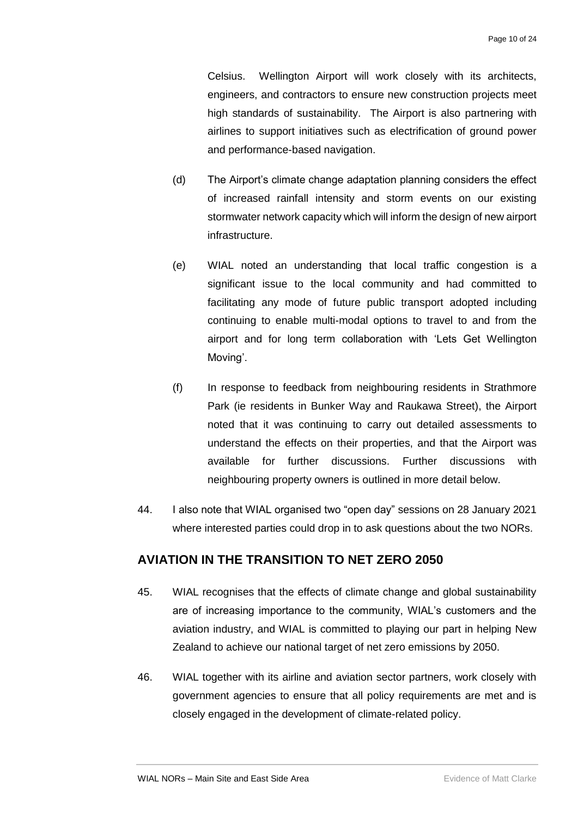Celsius. Wellington Airport will work closely with its architects, engineers, and contractors to ensure new construction projects meet high standards of sustainability. The Airport is also partnering with airlines to support initiatives such as electrification of ground power and performance-based navigation.

- (d) The Airport's climate change adaptation planning considers the effect of increased rainfall intensity and storm events on our existing stormwater network capacity which will inform the design of new airport infrastructure.
- (e) WIAL noted an understanding that local traffic congestion is a significant issue to the local community and had committed to facilitating any mode of future public transport adopted including continuing to enable multi-modal options to travel to and from the airport and for long term collaboration with 'Lets Get Wellington Moving'.
- (f) In response to feedback from neighbouring residents in Strathmore Park (ie residents in Bunker Way and Raukawa Street), the Airport noted that it was continuing to carry out detailed assessments to understand the effects on their properties, and that the Airport was available for further discussions. Further discussions with neighbouring property owners is outlined in more detail below.
- 44. I also note that WIAL organised two "open day" sessions on 28 January 2021 where interested parties could drop in to ask questions about the two NORs.

## <span id="page-11-0"></span>**AVIATION IN THE TRANSITION TO NET ZERO 2050**

- 45. WIAL recognises that the effects of climate change and global sustainability are of increasing importance to the community, WIAL's customers and the aviation industry, and WIAL is committed to playing our part in helping New Zealand to achieve our national target of net zero emissions by 2050.
- 46. WIAL together with its airline and aviation sector partners, work closely with government agencies to ensure that all policy requirements are met and is closely engaged in the development of climate-related policy.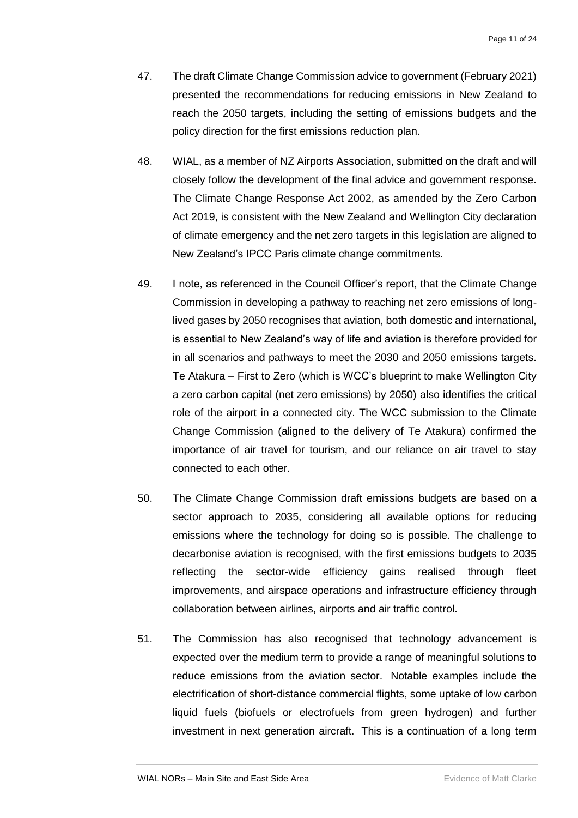- 47. The draft Climate Change Commission advice to government (February 2021) presented the recommendations for reducing emissions in New Zealand to reach the 2050 targets, including the setting of emissions budgets and the policy direction for the first emissions reduction plan.
- 48. WIAL, as a member of NZ Airports Association, submitted on the draft and will closely follow the development of the final advice and government response. The Climate Change Response Act 2002, as amended by the Zero Carbon Act 2019, is consistent with the New Zealand and Wellington City declaration of climate emergency and the net zero targets in this legislation are aligned to New Zealand's IPCC Paris climate change commitments.
- 49. I note, as referenced in the Council Officer's report, that the Climate Change Commission in developing a pathway to reaching net zero emissions of longlived gases by 2050 recognises that aviation, both domestic and international, is essential to New Zealand's way of life and aviation is therefore provided for in all scenarios and pathways to meet the 2030 and 2050 emissions targets. Te Atakura – First to Zero (which is WCC's blueprint to make Wellington City a zero carbon capital (net zero emissions) by 2050) also identifies the critical role of the airport in a connected city. The WCC submission to the Climate Change Commission (aligned to the delivery of Te Atakura) confirmed the importance of air travel for tourism, and our reliance on air travel to stay connected to each other.
- 50. The Climate Change Commission draft emissions budgets are based on a sector approach to 2035, considering all available options for reducing emissions where the technology for doing so is possible. The challenge to decarbonise aviation is recognised, with the first emissions budgets to 2035 reflecting the sector-wide efficiency gains realised through fleet improvements, and airspace operations and infrastructure efficiency through collaboration between airlines, airports and air traffic control.
- 51. The Commission has also recognised that technology advancement is expected over the medium term to provide a range of meaningful solutions to reduce emissions from the aviation sector. Notable examples include the electrification of short-distance commercial flights, some uptake of low carbon liquid fuels (biofuels or electrofuels from green hydrogen) and further investment in next generation aircraft. This is a continuation of a long term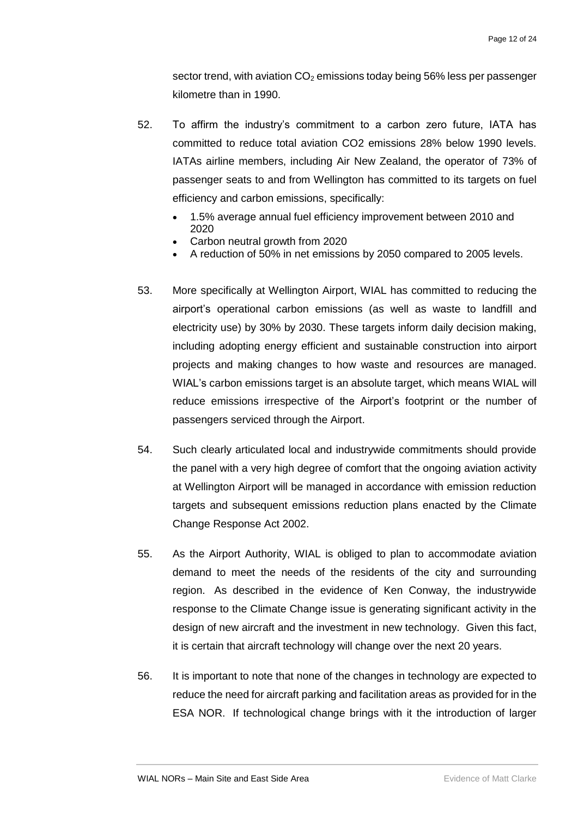sector trend, with aviation  $CO<sub>2</sub>$  emissions today being 56% less per passenger kilometre than in 1990.

- 52. To affirm the industry's commitment to a carbon zero future, IATA has committed to reduce total aviation CO2 emissions 28% below 1990 levels. IATAs airline members, including Air New Zealand, the operator of 73% of passenger seats to and from Wellington has committed to its targets on fuel efficiency and carbon emissions, specifically:
	- 1.5% average annual fuel efficiency improvement between 2010 and 2020
	- Carbon neutral growth from 2020
	- A reduction of 50% in net emissions by 2050 compared to 2005 levels.
- 53. More specifically at Wellington Airport, WIAL has committed to reducing the airport's operational carbon emissions (as well as waste to landfill and electricity use) by 30% by 2030. These targets inform daily decision making, including adopting energy efficient and sustainable construction into airport projects and making changes to how waste and resources are managed. WIAL's carbon emissions target is an absolute target, which means WIAL will reduce emissions irrespective of the Airport's footprint or the number of passengers serviced through the Airport.
- 54. Such clearly articulated local and industrywide commitments should provide the panel with a very high degree of comfort that the ongoing aviation activity at Wellington Airport will be managed in accordance with emission reduction targets and subsequent emissions reduction plans enacted by the Climate Change Response Act 2002.
- 55. As the Airport Authority, WIAL is obliged to plan to accommodate aviation demand to meet the needs of the residents of the city and surrounding region. As described in the evidence of Ken Conway, the industrywide response to the Climate Change issue is generating significant activity in the design of new aircraft and the investment in new technology. Given this fact, it is certain that aircraft technology will change over the next 20 years.
- 56. It is important to note that none of the changes in technology are expected to reduce the need for aircraft parking and facilitation areas as provided for in the ESA NOR. If technological change brings with it the introduction of larger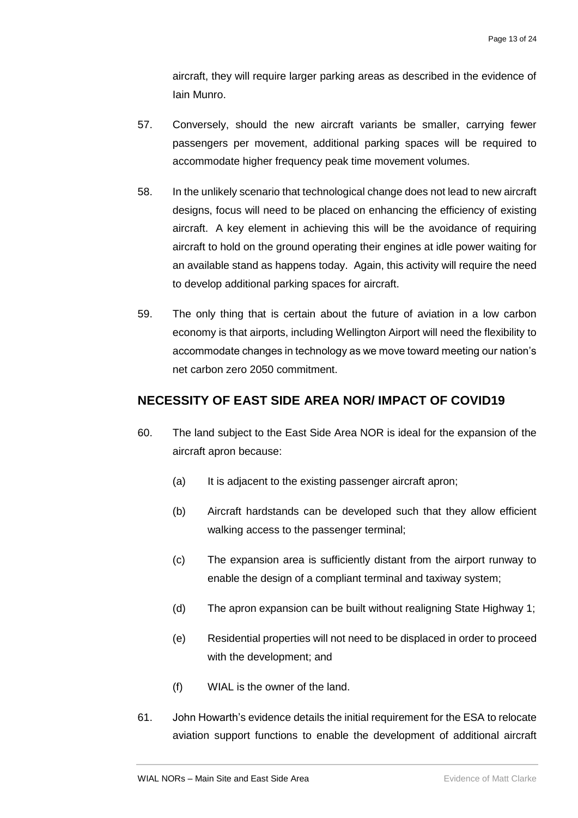aircraft, they will require larger parking areas as described in the evidence of Iain Munro.

- 57. Conversely, should the new aircraft variants be smaller, carrying fewer passengers per movement, additional parking spaces will be required to accommodate higher frequency peak time movement volumes.
- 58. In the unlikely scenario that technological change does not lead to new aircraft designs, focus will need to be placed on enhancing the efficiency of existing aircraft. A key element in achieving this will be the avoidance of requiring aircraft to hold on the ground operating their engines at idle power waiting for an available stand as happens today. Again, this activity will require the need to develop additional parking spaces for aircraft.
- 59. The only thing that is certain about the future of aviation in a low carbon economy is that airports, including Wellington Airport will need the flexibility to accommodate changes in technology as we move toward meeting our nation's net carbon zero 2050 commitment.

## <span id="page-14-0"></span>**NECESSITY OF EAST SIDE AREA NOR/ IMPACT OF COVID19**

- 60. The land subject to the East Side Area NOR is ideal for the expansion of the aircraft apron because:
	- (a) It is adjacent to the existing passenger aircraft apron;
	- (b) Aircraft hardstands can be developed such that they allow efficient walking access to the passenger terminal;
	- (c) The expansion area is sufficiently distant from the airport runway to enable the design of a compliant terminal and taxiway system;
	- (d) The apron expansion can be built without realigning State Highway 1;
	- (e) Residential properties will not need to be displaced in order to proceed with the development; and
	- (f) WIAL is the owner of the land.
- 61. John Howarth's evidence details the initial requirement for the ESA to relocate aviation support functions to enable the development of additional aircraft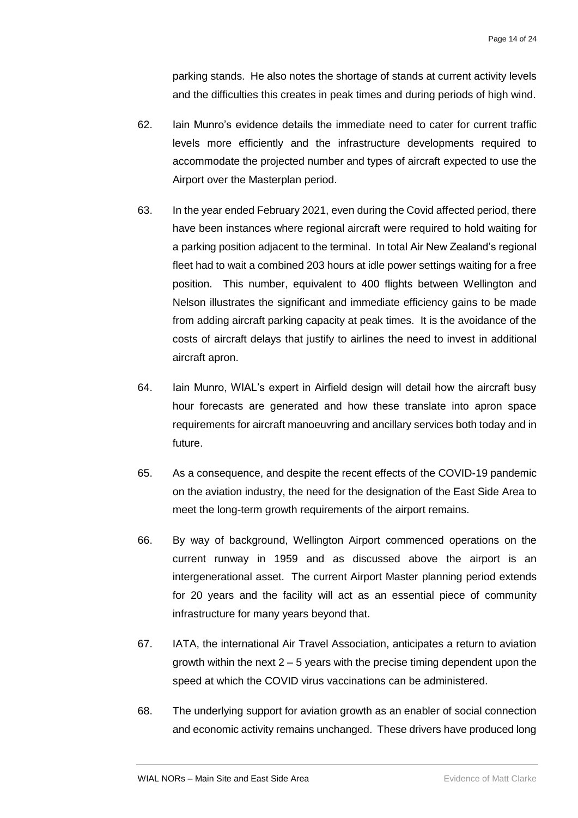parking stands. He also notes the shortage of stands at current activity levels and the difficulties this creates in peak times and during periods of high wind.

- 62. Iain Munro's evidence details the immediate need to cater for current traffic levels more efficiently and the infrastructure developments required to accommodate the projected number and types of aircraft expected to use the Airport over the Masterplan period.
- 63. In the year ended February 2021, even during the Covid affected period, there have been instances where regional aircraft were required to hold waiting for a parking position adjacent to the terminal. In total Air New Zealand's regional fleet had to wait a combined 203 hours at idle power settings waiting for a free position. This number, equivalent to 400 flights between Wellington and Nelson illustrates the significant and immediate efficiency gains to be made from adding aircraft parking capacity at peak times. It is the avoidance of the costs of aircraft delays that justify to airlines the need to invest in additional aircraft apron.
- 64. Iain Munro, WIAL's expert in Airfield design will detail how the aircraft busy hour forecasts are generated and how these translate into apron space requirements for aircraft manoeuvring and ancillary services both today and in future.
- 65. As a consequence, and despite the recent effects of the COVID-19 pandemic on the aviation industry, the need for the designation of the East Side Area to meet the long-term growth requirements of the airport remains.
- 66. By way of background, Wellington Airport commenced operations on the current runway in 1959 and as discussed above the airport is an intergenerational asset. The current Airport Master planning period extends for 20 years and the facility will act as an essential piece of community infrastructure for many years beyond that.
- 67. IATA, the international Air Travel Association, anticipates a return to aviation growth within the next  $2 - 5$  years with the precise timing dependent upon the speed at which the COVID virus vaccinations can be administered.
- 68. The underlying support for aviation growth as an enabler of social connection and economic activity remains unchanged. These drivers have produced long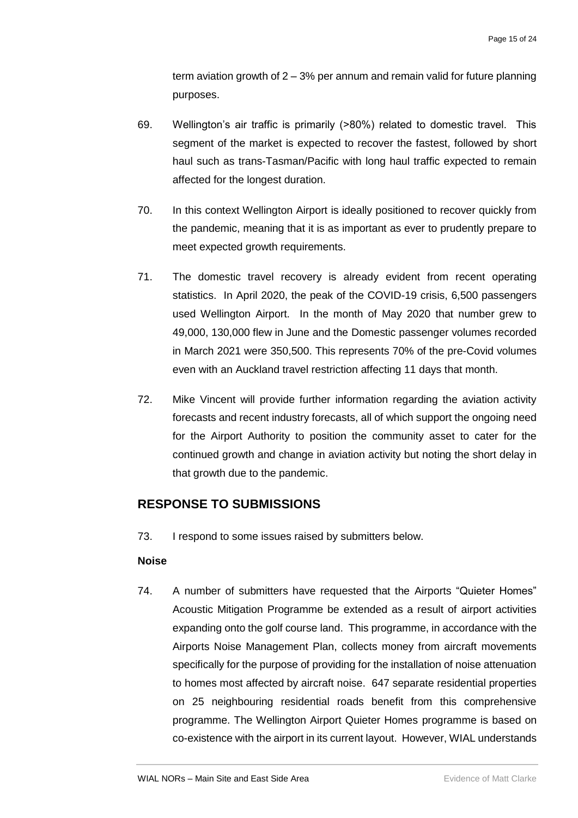term aviation growth of 2 – 3% per annum and remain valid for future planning purposes.

- 69. Wellington's air traffic is primarily (>80%) related to domestic travel. This segment of the market is expected to recover the fastest, followed by short haul such as trans-Tasman/Pacific with long haul traffic expected to remain affected for the longest duration.
- 70. In this context Wellington Airport is ideally positioned to recover quickly from the pandemic, meaning that it is as important as ever to prudently prepare to meet expected growth requirements.
- 71. The domestic travel recovery is already evident from recent operating statistics. In April 2020, the peak of the COVID-19 crisis, 6,500 passengers used Wellington Airport. In the month of May 2020 that number grew to 49,000, 130,000 flew in June and the Domestic passenger volumes recorded in March 2021 were 350,500. This represents 70% of the pre-Covid volumes even with an Auckland travel restriction affecting 11 days that month.
- 72. Mike Vincent will provide further information regarding the aviation activity forecasts and recent industry forecasts, all of which support the ongoing need for the Airport Authority to position the community asset to cater for the continued growth and change in aviation activity but noting the short delay in that growth due to the pandemic.

## <span id="page-16-0"></span>**RESPONSE TO SUBMISSIONS**

73. I respond to some issues raised by submitters below.

## <span id="page-16-1"></span>**Noise**

74. A number of submitters have requested that the Airports "Quieter Homes" Acoustic Mitigation Programme be extended as a result of airport activities expanding onto the golf course land. This programme, in accordance with the Airports Noise Management Plan, collects money from aircraft movements specifically for the purpose of providing for the installation of noise attenuation to homes most affected by aircraft noise. 647 separate residential properties on 25 neighbouring residential roads benefit from this comprehensive programme. The Wellington Airport Quieter Homes programme is based on co-existence with the airport in its current layout. However, WIAL understands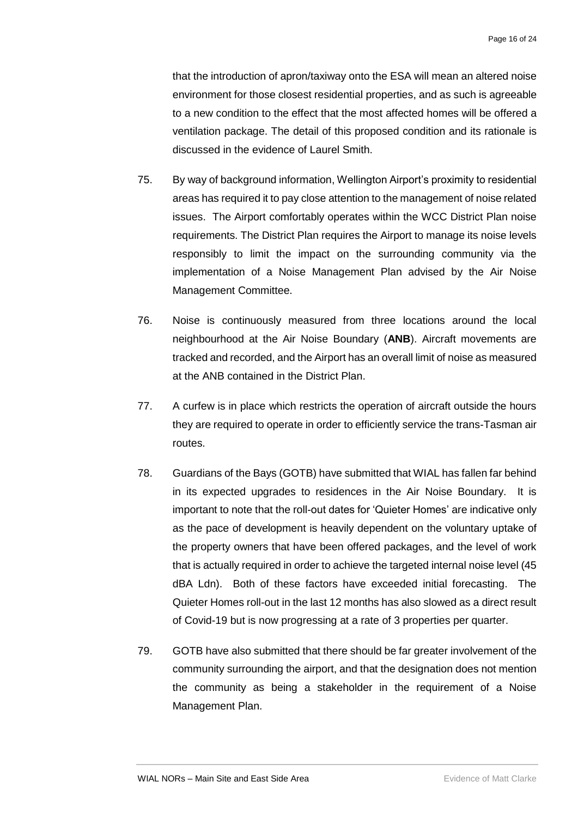that the introduction of apron/taxiway onto the ESA will mean an altered noise environment for those closest residential properties, and as such is agreeable to a new condition to the effect that the most affected homes will be offered a ventilation package. The detail of this proposed condition and its rationale is discussed in the evidence of Laurel Smith.

- 75. By way of background information, Wellington Airport's proximity to residential areas has required it to pay close attention to the management of noise related issues. The Airport comfortably operates within the WCC District Plan noise requirements. The District Plan requires the Airport to manage its noise levels responsibly to limit the impact on the surrounding community via the implementation of a Noise Management Plan advised by the Air Noise Management Committee.
- 76. Noise is continuously measured from three locations around the local neighbourhood at the Air Noise Boundary (**ANB**). Aircraft movements are tracked and recorded, and the Airport has an overall limit of noise as measured at the ANB contained in the District Plan.
- 77. A curfew is in place which restricts the operation of aircraft outside the hours they are required to operate in order to efficiently service the trans-Tasman air routes.
- 78. Guardians of the Bays (GOTB) have submitted that WIAL has fallen far behind in its expected upgrades to residences in the Air Noise Boundary. It is important to note that the roll-out dates for 'Quieter Homes' are indicative only as the pace of development is heavily dependent on the voluntary uptake of the property owners that have been offered packages, and the level of work that is actually required in order to achieve the targeted internal noise level (45 dBA Ldn). Both of these factors have exceeded initial forecasting. The Quieter Homes roll-out in the last 12 months has also slowed as a direct result of Covid-19 but is now progressing at a rate of 3 properties per quarter.
- 79. GOTB have also submitted that there should be far greater involvement of the community surrounding the airport, and that the designation does not mention the community as being a stakeholder in the requirement of a Noise Management Plan.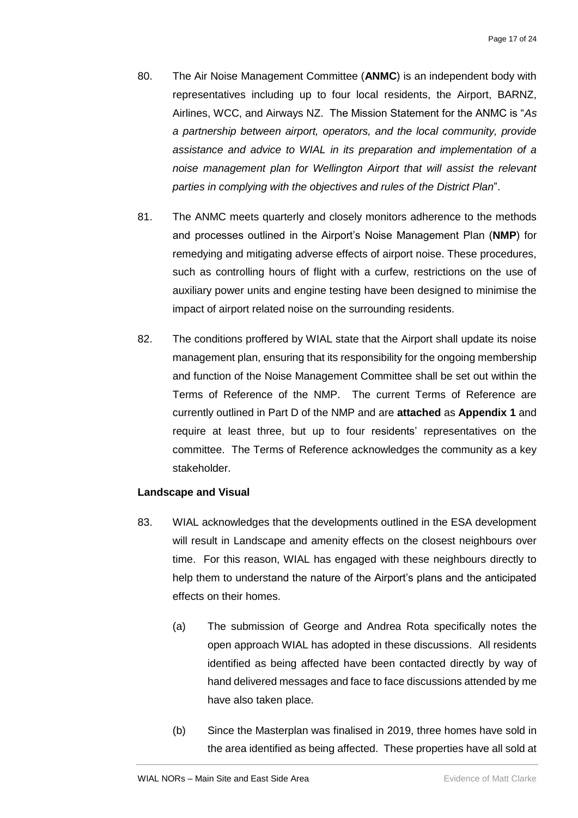- 80. The Air Noise Management Committee (**ANMC**) is an independent body with representatives including up to four local residents, the Airport, BARNZ, Airlines, WCC, and Airways NZ. The Mission Statement for the ANMC is "*As a partnership between airport, operators, and the local community, provide assistance and advice to WIAL in its preparation and implementation of a noise management plan for Wellington Airport that will assist the relevant parties in complying with the objectives and rules of the District Plan*".
- 81. The ANMC meets quarterly and closely monitors adherence to the methods and processes outlined in the Airport's Noise Management Plan (**NMP**) for remedying and mitigating adverse effects of airport noise. These procedures, such as controlling hours of flight with a curfew, restrictions on the use of auxiliary power units and engine testing have been designed to minimise the impact of airport related noise on the surrounding residents.
- 82. The conditions proffered by WIAL state that the Airport shall update its noise management plan, ensuring that its responsibility for the ongoing membership and function of the Noise Management Committee shall be set out within the Terms of Reference of the NMP. The current Terms of Reference are currently outlined in Part D of the NMP and are **attached** as **Appendix 1** and require at least three, but up to four residents' representatives on the committee. The Terms of Reference acknowledges the community as a key stakeholder.

### <span id="page-18-0"></span>**Landscape and Visual**

- 83. WIAL acknowledges that the developments outlined in the ESA development will result in Landscape and amenity effects on the closest neighbours over time. For this reason, WIAL has engaged with these neighbours directly to help them to understand the nature of the Airport's plans and the anticipated effects on their homes.
	- (a) The submission of George and Andrea Rota specifically notes the open approach WIAL has adopted in these discussions. All residents identified as being affected have been contacted directly by way of hand delivered messages and face to face discussions attended by me have also taken place.
	- (b) Since the Masterplan was finalised in 2019, three homes have sold in the area identified as being affected. These properties have all sold at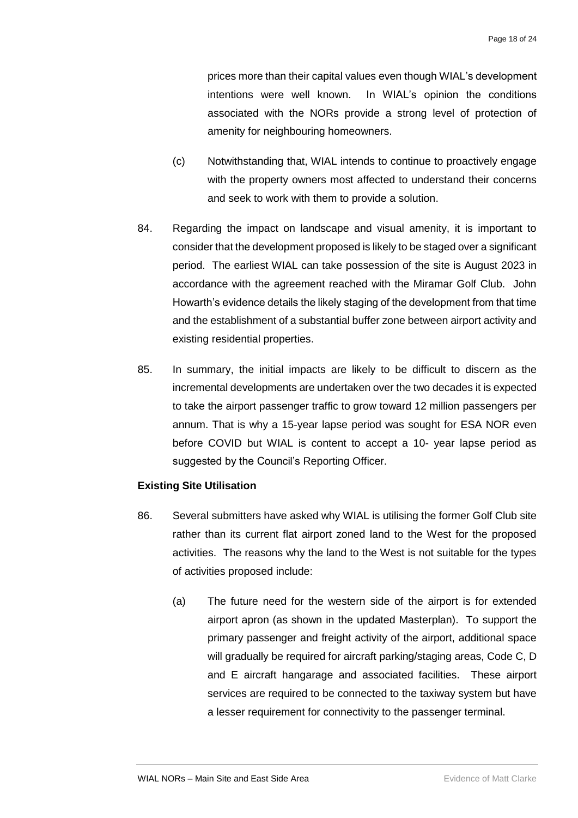prices more than their capital values even though WIAL's development intentions were well known. In WIAL's opinion the conditions associated with the NORs provide a strong level of protection of amenity for neighbouring homeowners.

- (c) Notwithstanding that, WIAL intends to continue to proactively engage with the property owners most affected to understand their concerns and seek to work with them to provide a solution.
- 84. Regarding the impact on landscape and visual amenity, it is important to consider that the development proposed is likely to be staged over a significant period. The earliest WIAL can take possession of the site is August 2023 in accordance with the agreement reached with the Miramar Golf Club. John Howarth's evidence details the likely staging of the development from that time and the establishment of a substantial buffer zone between airport activity and existing residential properties.
- 85. In summary, the initial impacts are likely to be difficult to discern as the incremental developments are undertaken over the two decades it is expected to take the airport passenger traffic to grow toward 12 million passengers per annum. That is why a 15-year lapse period was sought for ESA NOR even before COVID but WIAL is content to accept a 10- year lapse period as suggested by the Council's Reporting Officer.

### <span id="page-19-0"></span>**Existing Site Utilisation**

- 86. Several submitters have asked why WIAL is utilising the former Golf Club site rather than its current flat airport zoned land to the West for the proposed activities. The reasons why the land to the West is not suitable for the types of activities proposed include:
	- (a) The future need for the western side of the airport is for extended airport apron (as shown in the updated Masterplan). To support the primary passenger and freight activity of the airport, additional space will gradually be required for aircraft parking/staging areas, Code C, D and E aircraft hangarage and associated facilities. These airport services are required to be connected to the taxiway system but have a lesser requirement for connectivity to the passenger terminal.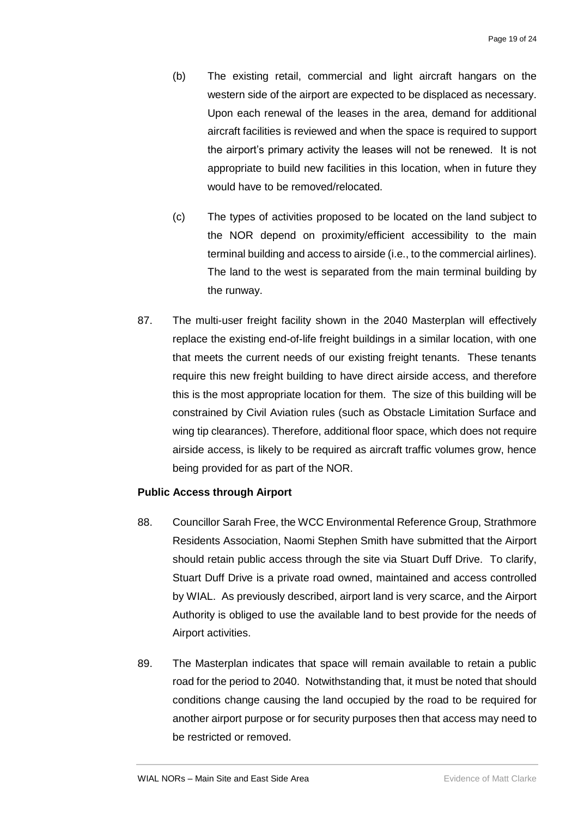- (b) The existing retail, commercial and light aircraft hangars on the western side of the airport are expected to be displaced as necessary. Upon each renewal of the leases in the area, demand for additional aircraft facilities is reviewed and when the space is required to support the airport's primary activity the leases will not be renewed. It is not appropriate to build new facilities in this location, when in future they would have to be removed/relocated.
- (c) The types of activities proposed to be located on the land subject to the NOR depend on proximity/efficient accessibility to the main terminal building and access to airside (i.e., to the commercial airlines). The land to the west is separated from the main terminal building by the runway.
- 87. The multi-user freight facility shown in the 2040 Masterplan will effectively replace the existing end-of-life freight buildings in a similar location, with one that meets the current needs of our existing freight tenants. These tenants require this new freight building to have direct airside access, and therefore this is the most appropriate location for them. The size of this building will be constrained by Civil Aviation rules (such as Obstacle Limitation Surface and wing tip clearances). Therefore, additional floor space, which does not require airside access, is likely to be required as aircraft traffic volumes grow, hence being provided for as part of the NOR.

### <span id="page-20-0"></span>**Public Access through Airport**

- 88. Councillor Sarah Free, the WCC Environmental Reference Group, Strathmore Residents Association, Naomi Stephen Smith have submitted that the Airport should retain public access through the site via Stuart Duff Drive. To clarify, Stuart Duff Drive is a private road owned, maintained and access controlled by WIAL. As previously described, airport land is very scarce, and the Airport Authority is obliged to use the available land to best provide for the needs of Airport activities.
- 89. The Masterplan indicates that space will remain available to retain a public road for the period to 2040. Notwithstanding that, it must be noted that should conditions change causing the land occupied by the road to be required for another airport purpose or for security purposes then that access may need to be restricted or removed.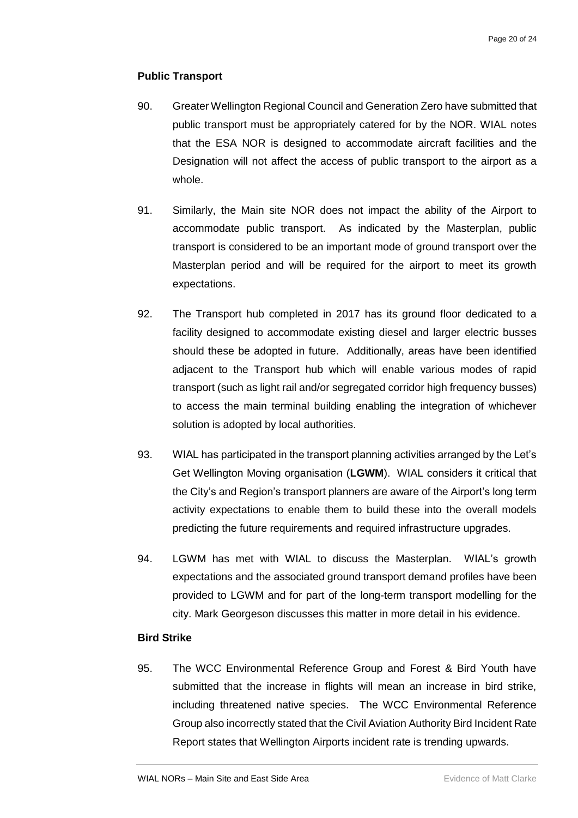### <span id="page-21-0"></span>**Public Transport**

- 90. Greater Wellington Regional Council and Generation Zero have submitted that public transport must be appropriately catered for by the NOR. WIAL notes that the ESA NOR is designed to accommodate aircraft facilities and the Designation will not affect the access of public transport to the airport as a whole.
- 91. Similarly, the Main site NOR does not impact the ability of the Airport to accommodate public transport. As indicated by the Masterplan, public transport is considered to be an important mode of ground transport over the Masterplan period and will be required for the airport to meet its growth expectations.
- 92. The Transport hub completed in 2017 has its ground floor dedicated to a facility designed to accommodate existing diesel and larger electric busses should these be adopted in future. Additionally, areas have been identified adjacent to the Transport hub which will enable various modes of rapid transport (such as light rail and/or segregated corridor high frequency busses) to access the main terminal building enabling the integration of whichever solution is adopted by local authorities.
- 93. WIAL has participated in the transport planning activities arranged by the Let's Get Wellington Moving organisation (**LGWM**). WIAL considers it critical that the City's and Region's transport planners are aware of the Airport's long term activity expectations to enable them to build these into the overall models predicting the future requirements and required infrastructure upgrades.
- 94. LGWM has met with WIAL to discuss the Masterplan. WIAL's growth expectations and the associated ground transport demand profiles have been provided to LGWM and for part of the long-term transport modelling for the city. Mark Georgeson discusses this matter in more detail in his evidence.

### <span id="page-21-1"></span>**Bird Strike**

95. The WCC Environmental Reference Group and Forest & Bird Youth have submitted that the increase in flights will mean an increase in bird strike, including threatened native species. The WCC Environmental Reference Group also incorrectly stated that the Civil Aviation Authority Bird Incident Rate Report states that Wellington Airports incident rate is trending upwards.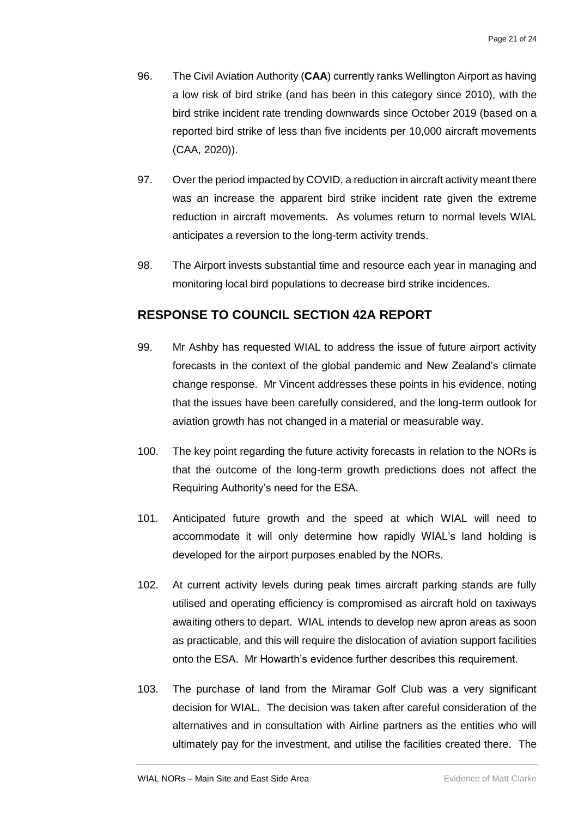- 96. The Civil Aviation Authority (**CAA**) currently ranks Wellington Airport as having a low risk of bird strike (and has been in this category since 2010), with the bird strike incident rate trending downwards since October 2019 (based on a reported bird strike of less than five incidents per 10,000 aircraft movements (CAA, 2020)).
- 97. Over the period impacted by COVID, a reduction in aircraft activity meant there was an increase the apparent bird strike incident rate given the extreme reduction in aircraft movements. As volumes return to normal levels WIAL anticipates a reversion to the long-term activity trends.
- 98. The Airport invests substantial time and resource each year in managing and monitoring local bird populations to decrease bird strike incidences.

# <span id="page-22-0"></span>**RESPONSE TO COUNCIL SECTION 42A REPORT**

- 99. Mr Ashby has requested WIAL to address the issue of future airport activity forecasts in the context of the global pandemic and New Zealand's climate change response. Mr Vincent addresses these points in his evidence, noting that the issues have been carefully considered, and the long-term outlook for aviation growth has not changed in a material or measurable way.
- 100. The key point regarding the future activity forecasts in relation to the NORs is that the outcome of the long-term growth predictions does not affect the Requiring Authority's need for the ESA.
- 101. Anticipated future growth and the speed at which WIAL will need to accommodate it will only determine how rapidly WIAL's land holding is developed for the airport purposes enabled by the NORs.
- 102. At current activity levels during peak times aircraft parking stands are fully utilised and operating efficiency is compromised as aircraft hold on taxiways awaiting others to depart. WIAL intends to develop new apron areas as soon as practicable, and this will require the dislocation of aviation support facilities onto the ESA. Mr Howarth's evidence further describes this requirement.
- 103. The purchase of land from the Miramar Golf Club was a very significant decision for WIAL. The decision was taken after careful consideration of the alternatives and in consultation with Airline partners as the entities who will ultimately pay for the investment, and utilise the facilities created there. The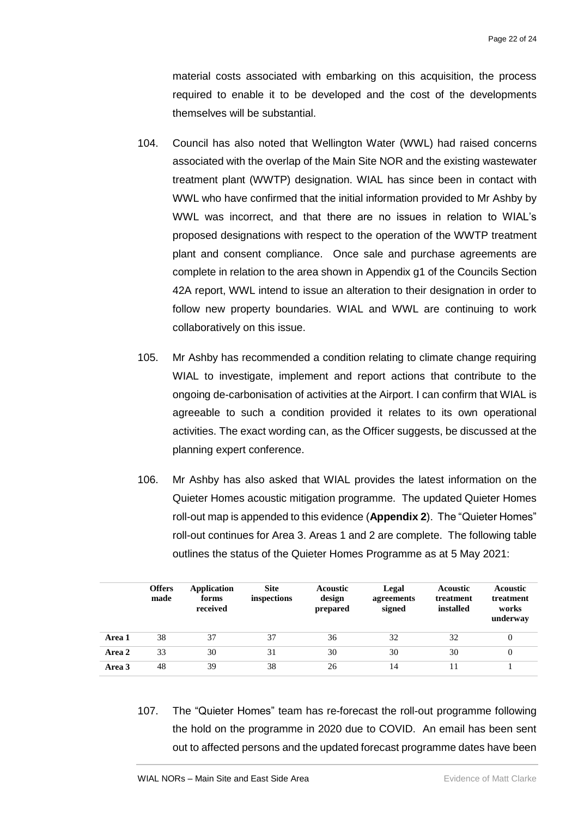material costs associated with embarking on this acquisition, the process required to enable it to be developed and the cost of the developments themselves will be substantial.

- 104. Council has also noted that Wellington Water (WWL) had raised concerns associated with the overlap of the Main Site NOR and the existing wastewater treatment plant (WWTP) designation. WIAL has since been in contact with WWL who have confirmed that the initial information provided to Mr Ashby by WWL was incorrect, and that there are no issues in relation to WIAL's proposed designations with respect to the operation of the WWTP treatment plant and consent compliance. Once sale and purchase agreements are complete in relation to the area shown in Appendix g1 of the Councils Section 42A report, WWL intend to issue an alteration to their designation in order to follow new property boundaries. WIAL and WWL are continuing to work collaboratively on this issue.
- 105. Mr Ashby has recommended a condition relating to climate change requiring WIAL to investigate, implement and report actions that contribute to the ongoing de-carbonisation of activities at the Airport. I can confirm that WIAL is agreeable to such a condition provided it relates to its own operational activities. The exact wording can, as the Officer suggests, be discussed at the planning expert conference.
- 106. Mr Ashby has also asked that WIAL provides the latest information on the Quieter Homes acoustic mitigation programme. The updated Quieter Homes roll-out map is appended to this evidence (**Appendix 2**). The "Quieter Homes" roll-out continues for Area 3. Areas 1 and 2 are complete. The following table outlines the status of the Quieter Homes Programme as at 5 May 2021:

|        | <b>Offers</b><br>made | <b>Application</b><br>forms<br>received | <b>Site</b><br>inspections | <b>Acoustic</b><br>design<br>prepared | Legal<br>agreements<br>signed | <b>Acoustic</b><br>treatment<br>installed | <b>Acoustic</b><br>treatment<br>works<br>underway |
|--------|-----------------------|-----------------------------------------|----------------------------|---------------------------------------|-------------------------------|-------------------------------------------|---------------------------------------------------|
| Area 1 | 38                    | 37                                      | 37                         | 36                                    | 32                            | 32                                        | $\overline{0}$                                    |
| Area 2 | 33                    | 30                                      | 31                         | 30                                    | 30                            | 30                                        | $\overline{0}$                                    |
| Area 3 | 48                    | 39                                      | 38                         | 26                                    | 14                            | 11                                        |                                                   |

107. The "Quieter Homes" team has re-forecast the roll-out programme following the hold on the programme in 2020 due to COVID. An email has been sent out to affected persons and the updated forecast programme dates have been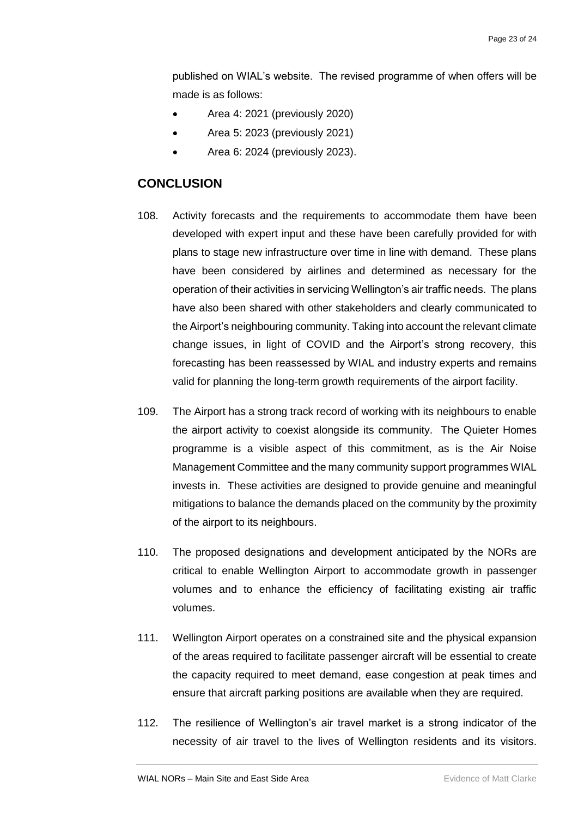published on WIAL's website. The revised programme of when offers will be made is as follows:

- Area 4: 2021 (previously 2020)
- Area 5: 2023 (previously 2021)
- Area 6: 2024 (previously 2023).

## <span id="page-24-0"></span>**CONCLUSION**

- 108. Activity forecasts and the requirements to accommodate them have been developed with expert input and these have been carefully provided for with plans to stage new infrastructure over time in line with demand. These plans have been considered by airlines and determined as necessary for the operation of their activities in servicing Wellington's air traffic needs. The plans have also been shared with other stakeholders and clearly communicated to the Airport's neighbouring community. Taking into account the relevant climate change issues, in light of COVID and the Airport's strong recovery, this forecasting has been reassessed by WIAL and industry experts and remains valid for planning the long-term growth requirements of the airport facility.
- 109. The Airport has a strong track record of working with its neighbours to enable the airport activity to coexist alongside its community. The Quieter Homes programme is a visible aspect of this commitment, as is the Air Noise Management Committee and the many community support programmes WIAL invests in. These activities are designed to provide genuine and meaningful mitigations to balance the demands placed on the community by the proximity of the airport to its neighbours.
- 110. The proposed designations and development anticipated by the NORs are critical to enable Wellington Airport to accommodate growth in passenger volumes and to enhance the efficiency of facilitating existing air traffic volumes.
- 111. Wellington Airport operates on a constrained site and the physical expansion of the areas required to facilitate passenger aircraft will be essential to create the capacity required to meet demand, ease congestion at peak times and ensure that aircraft parking positions are available when they are required.
- 112. The resilience of Wellington's air travel market is a strong indicator of the necessity of air travel to the lives of Wellington residents and its visitors.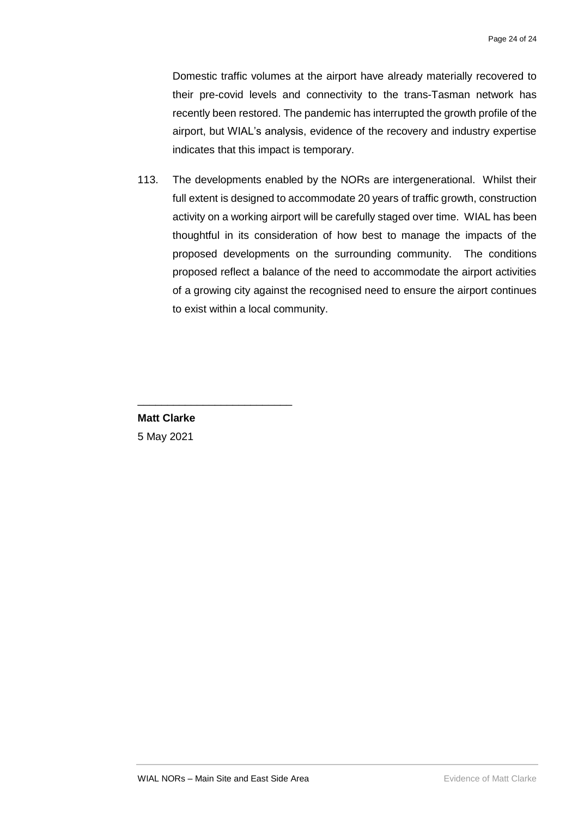Domestic traffic volumes at the airport have already materially recovered to their pre-covid levels and connectivity to the trans-Tasman network has recently been restored. The pandemic has interrupted the growth profile of the airport, but WIAL's analysis, evidence of the recovery and industry expertise indicates that this impact is temporary.

113. The developments enabled by the NORs are intergenerational. Whilst their full extent is designed to accommodate 20 years of traffic growth, construction activity on a working airport will be carefully staged over time. WIAL has been thoughtful in its consideration of how best to manage the impacts of the proposed developments on the surrounding community. The conditions proposed reflect a balance of the need to accommodate the airport activities of a growing city against the recognised need to ensure the airport continues to exist within a local community.

**Matt Clarke** 5 May 2021

\_\_\_\_\_\_\_\_\_\_\_\_\_\_\_\_\_\_\_\_\_\_\_\_\_\_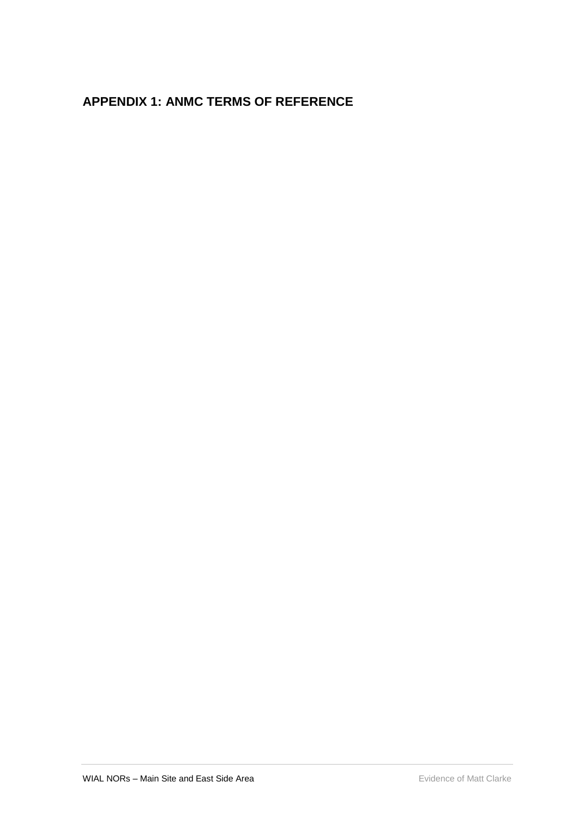# <span id="page-26-0"></span>**APPENDIX 1: ANMC TERMS OF REFERENCE**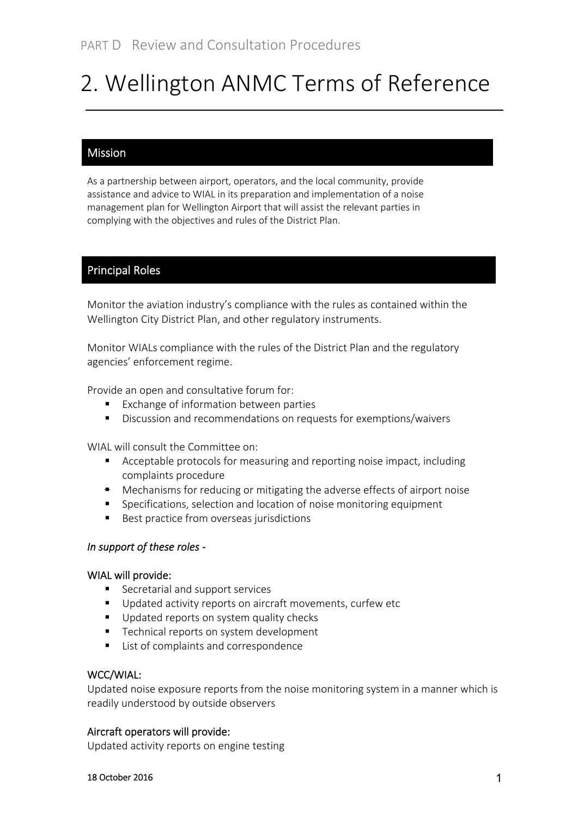# 2. Wellington ANMC Terms of Reference

## Mission

As a partnership between airport, operators, and the local community, provide assistance and advice to WIAL in its preparation and implementation of a noise management plan for Wellington Airport that will assist the relevant parties in complying with the objectives and rules of the District Plan.

## Principal Roles

Monitor the aviation industry's compliance with the rules as contained within the Wellington City District Plan, and other regulatory instruments.

Monitor WIALs compliance with the rules of the District Plan and the regulatory agencies' enforcement regime.

Provide an open and consultative forum for:

- Exchange of information between parties
- Discussion and recommendations on requests for exemptions/waivers

WIAL will consult the Committee on:

- Acceptable protocols for measuring and reporting noise impact, including complaints procedure
- **•** Mechanisms for reducing or mitigating the adverse effects of airport noise
- Specifications, selection and location of noise monitoring equipment
- Best practice from overseas jurisdictions

### *In support of these roles ‐*

### WIAL will provide:

- Secretarial and support services
- Updated activity reports on aircraft movements, curfew etc
- Updated reports on system quality checks
- Technical reports on system development
- List of complaints and correspondence

### WCC/WIAL:

Updated noise exposure reports from the noise monitoring system in a manner which is readily understood by outside observers

### Aircraft operators will provide:

Updated activity reports on engine testing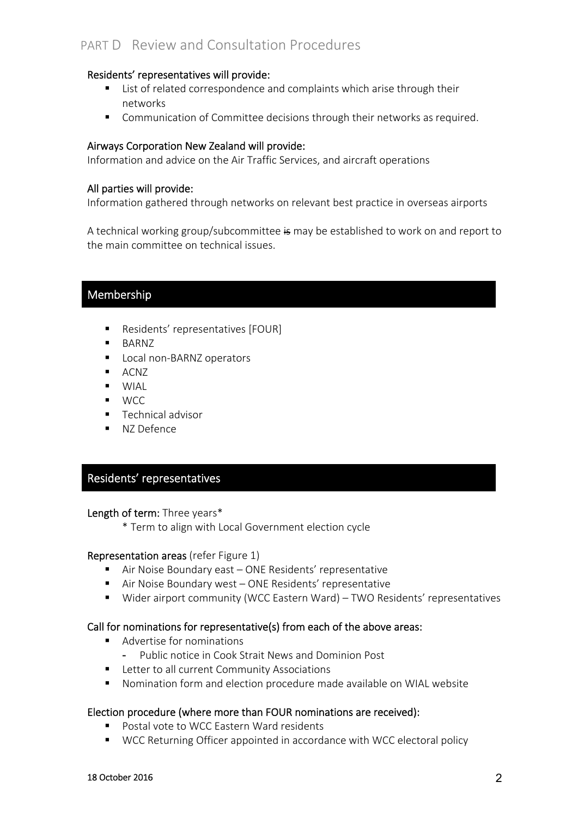# PART D Review and Consultation Procedures

### Residents' representatives will provide:

- List of related correspondence and complaints which arise through their networks
- Communication of Committee decisions through their networks as required.

## Airways Corporation New Zealand will provide:

Information and advice on the Air Traffic Services, and aircraft operations

### All parties will provide:

Information gathered through networks on relevant best practice in overseas airports

A technical working group/subcommittee is may be established to work on and report to the main committee on technical issues.

## Membership

- Residents' representatives [FOUR]
- **BARNZ**
- Local non-BARNZ operators
- **ACNZ**
- $W[A]$
- $WCC$
- **Technical advisor**
- NZ Defence

## Residents' representatives

### Length of term: Three years\*

\* Term to align with Local Government election cycle

### Representation areas (refer Figure 1)

- Air Noise Boundary east ONE Residents' representative
- Air Noise Boundary west ONE Residents' representative
- Wider airport community (WCC Eastern Ward) TWO Residents' representatives

### Call for nominations for representative(s) from each of the above areas:

- Advertise for nominations
	- Public notice in Cook Strait News and Dominion Post
- **E** Letter to all current Community Associations
- Nomination form and election procedure made available on WIAL website

### Election procedure (where more than FOUR nominations are received):

- Postal vote to WCC Eastern Ward residents
- WCC Returning Officer appointed in accordance with WCC electoral policy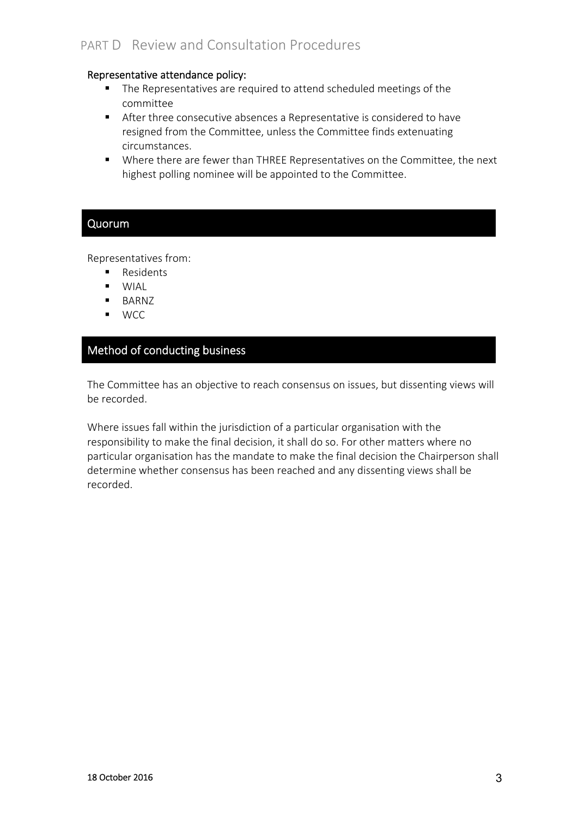### Representative attendance policy:

- The Representatives are required to attend scheduled meetings of the committee
- After three consecutive absences a Representative is considered to have resigned from the Committee, unless the Committee finds extenuating circumstances.
- Where there are fewer than THREE Representatives on the Committee, the next highest polling nominee will be appointed to the Committee.

## Quorum

Representatives from:

- **Residents**
- **WIAL**
- BARNZ
- WCC

## Method of conducting business

The Committee has an objective to reach consensus on issues, but dissenting views will be recorded.

Where issues fall within the jurisdiction of a particular organisation with the responsibility to make the final decision, it shall do so. For other matters where no particular organisation has the mandate to make the final decision the Chairperson shall determine whether consensus has been reached and any dissenting views shall be recorded.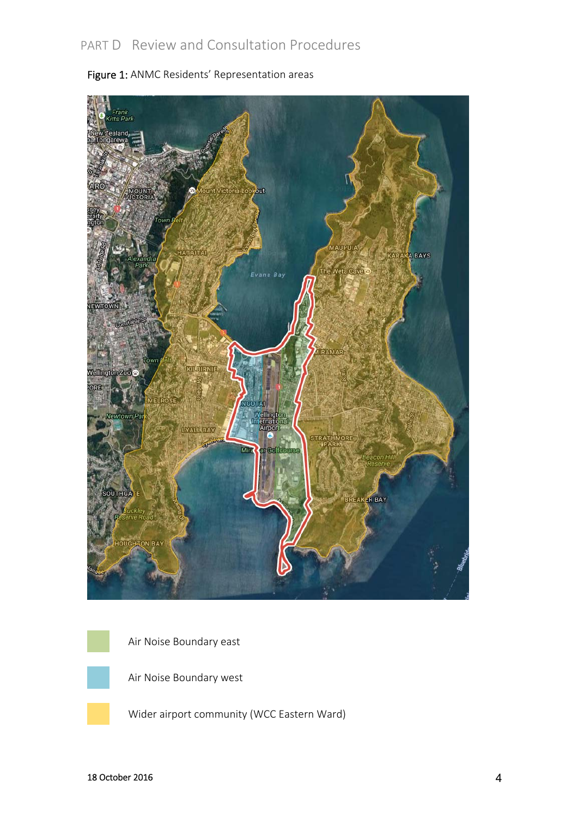

Figure 1: ANMC Residents' Representation areas



Air Noise Boundary east



Air Noise Boundary west

Wider airport community (WCC Eastern Ward)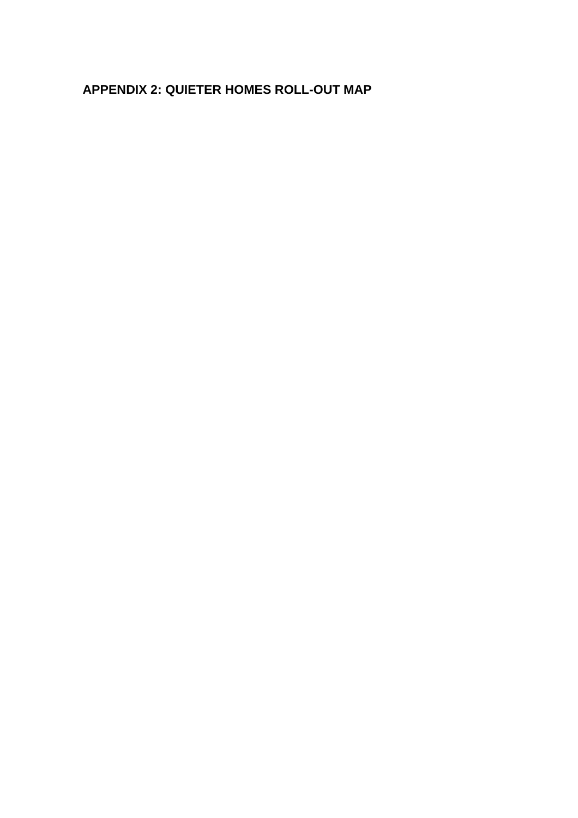# <span id="page-31-0"></span>**APPENDIX 2: QUIETER HOMES ROLL-OUT MAP**